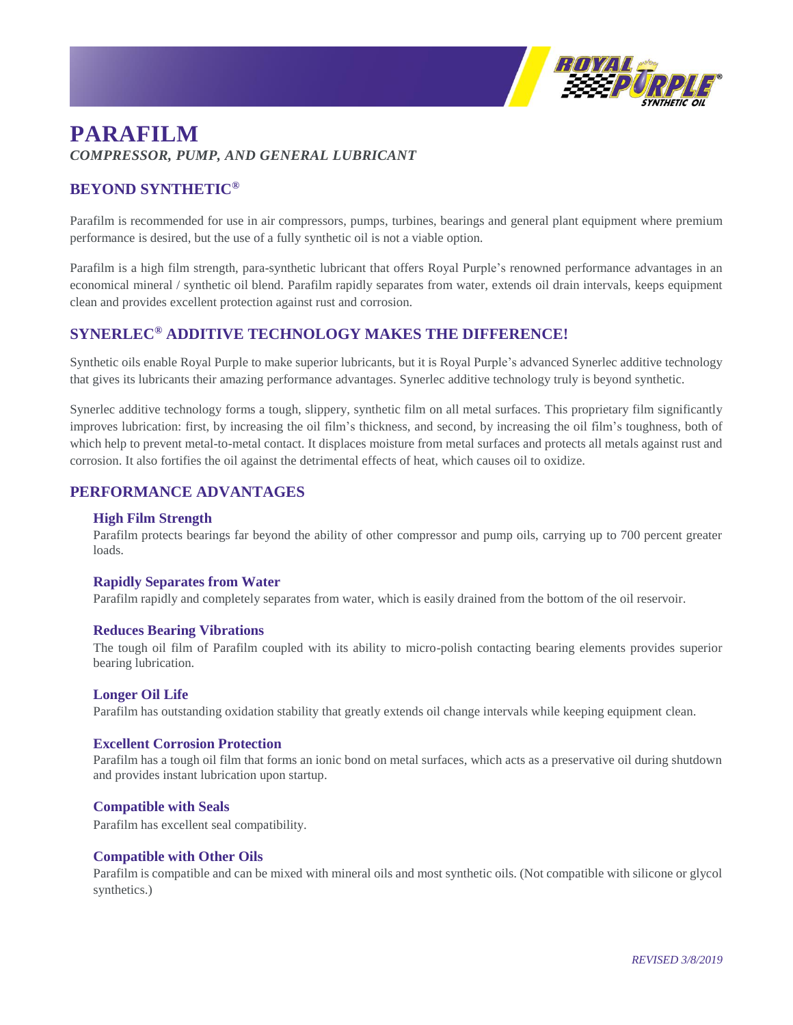

# **PARAFILM** *COMPRESSOR, PUMP, AND GENERAL LUBRICANT*

## **BEYOND SYNTHETIC®**

Parafilm is recommended for use in air compressors, pumps, turbines, bearings and general plant equipment where premium performance is desired, but the use of a fully synthetic oil is not a viable option.

Parafilm is a high film strength, para-synthetic lubricant that offers Royal Purple's renowned performance advantages in an economical mineral / synthetic oil blend. Parafilm rapidly separates from water, extends oil drain intervals, keeps equipment clean and provides excellent protection against rust and corrosion.

### **SYNERLEC® ADDITIVE TECHNOLOGY MAKES THE DIFFERENCE!**

Synthetic oils enable Royal Purple to make superior lubricants, but it is Royal Purple's advanced Synerlec additive technology that gives its lubricants their amazing performance advantages. Synerlec additive technology truly is beyond synthetic.

Synerlec additive technology forms a tough, slippery, synthetic film on all metal surfaces. This proprietary film significantly improves lubrication: first, by increasing the oil film's thickness, and second, by increasing the oil film's toughness, both of which help to prevent metal-to-metal contact. It displaces moisture from metal surfaces and protects all metals against rust and corrosion. It also fortifies the oil against the detrimental effects of heat, which causes oil to oxidize.

### **PERFORMANCE ADVANTAGES**

#### **High Film Strength**

Parafilm protects bearings far beyond the ability of other compressor and pump oils, carrying up to 700 percent greater loads.

#### **Rapidly Separates from Water**

Parafilm rapidly and completely separates from water, which is easily drained from the bottom of the oil reservoir.

#### **Reduces Bearing Vibrations**

The tough oil film of Parafilm coupled with its ability to micro-polish contacting bearing elements provides superior bearing lubrication.

#### **Longer Oil Life**

Parafilm has outstanding oxidation stability that greatly extends oil change intervals while keeping equipment clean.

#### **Excellent Corrosion Protection**

Parafilm has a tough oil film that forms an ionic bond on metal surfaces, which acts as a preservative oil during shutdown and provides instant lubrication upon startup.

#### **Compatible with Seals**

Parafilm has excellent seal compatibility.

#### **Compatible with Other Oils**

Parafilm is compatible and can be mixed with mineral oils and most synthetic oils. (Not compatible with silicone or glycol synthetics.)